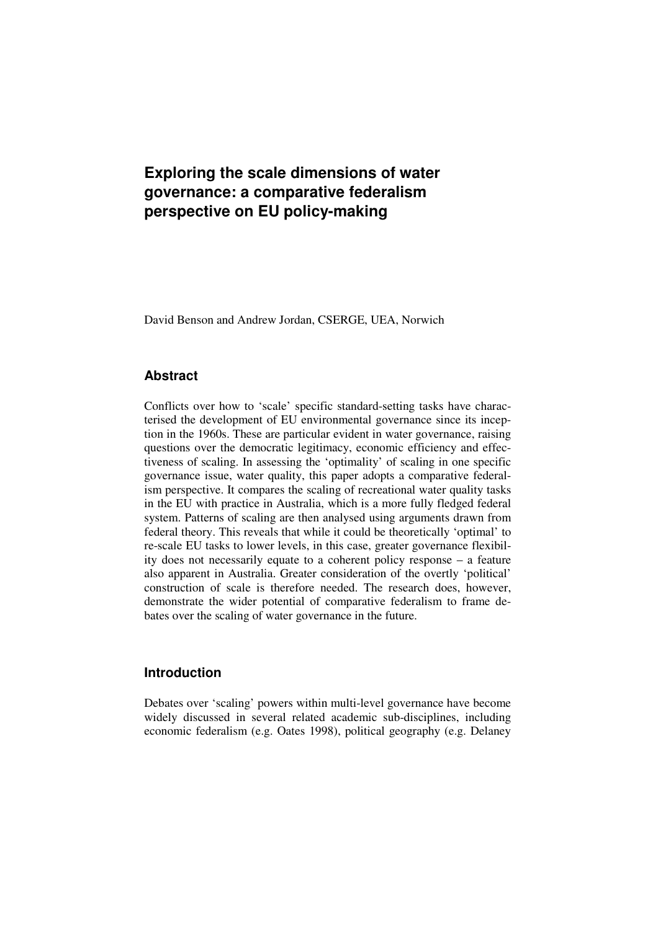# **Exploring the scale dimensions of water governance: a comparative federalism perspective on EU policy-making**

David Benson and Andrew Jordan, CSERGE, UEA, Norwich

### **Abstract**

Conflicts over how to 'scale' specific standard-setting tasks have characterised the development of EU environmental governance since its inception in the 1960s. These are particular evident in water governance, raising questions over the democratic legitimacy, economic efficiency and effectiveness of scaling. In assessing the 'optimality' of scaling in one specific governance issue, water quality, this paper adopts a comparative federalism perspective. It compares the scaling of recreational water quality tasks in the EU with practice in Australia, which is a more fully fledged federal system. Patterns of scaling are then analysed using arguments drawn from federal theory. This reveals that while it could be theoretically 'optimal' to re-scale EU tasks to lower levels, in this case, greater governance flexibility does not necessarily equate to a coherent policy response – a feature also apparent in Australia. Greater consideration of the overtly 'political' construction of scale is therefore needed. The research does, however, demonstrate the wider potential of comparative federalism to frame debates over the scaling of water governance in the future.

## **Introduction**

Debates over 'scaling' powers within multi-level governance have become widely discussed in several related academic sub-disciplines, including economic federalism (e.g. Oates 1998), political geography (e.g. Delaney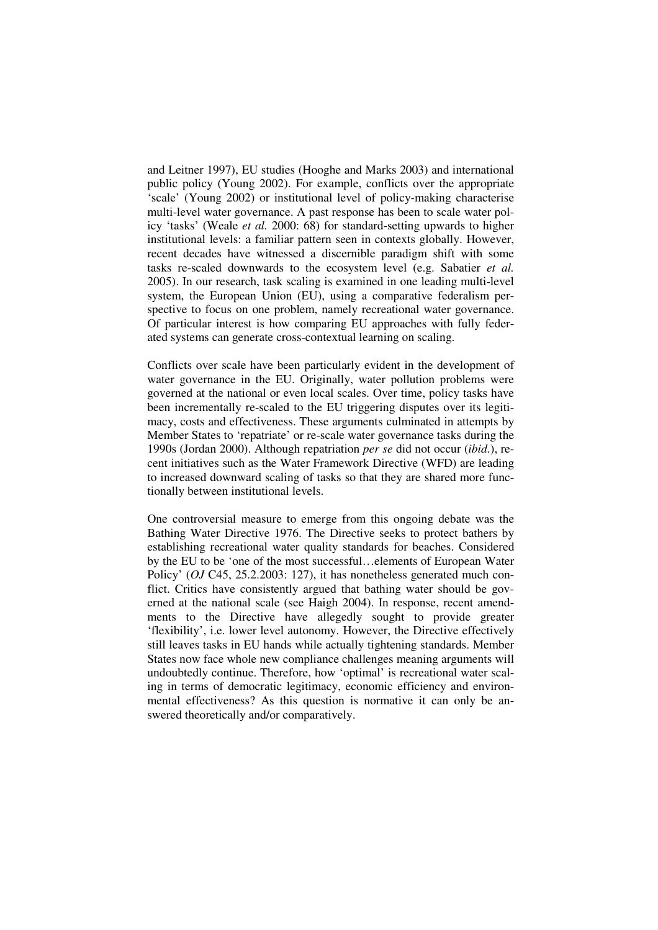and Leitner 1997), EU studies (Hooghe and Marks 2003) and international public policy (Young 2002). For example, conflicts over the appropriate 'scale' (Young 2002) or institutional level of policy-making characterise multi-level water governance. A past response has been to scale water policy 'tasks' (Weale *et al.* 2000: 68) for standard-setting upwards to higher institutional levels: a familiar pattern seen in contexts globally. However, recent decades have witnessed a discernible paradigm shift with some tasks re-scaled downwards to the ecosystem level (e.g. Sabatier *et al.* 2005). In our research, task scaling is examined in one leading multi-level system, the European Union (EU), using a comparative federalism perspective to focus on one problem, namely recreational water governance. Of particular interest is how comparing EU approaches with fully federated systems can generate cross-contextual learning on scaling.

Conflicts over scale have been particularly evident in the development of water governance in the EU. Originally, water pollution problems were governed at the national or even local scales. Over time, policy tasks have been incrementally re-scaled to the EU triggering disputes over its legitimacy, costs and effectiveness. These arguments culminated in attempts by Member States to 'repatriate' or re-scale water governance tasks during the 1990s (Jordan 2000). Although repatriation *per se* did not occur (*ibid*.), recent initiatives such as the Water Framework Directive (WFD) are leading to increased downward scaling of tasks so that they are shared more functionally between institutional levels.

One controversial measure to emerge from this ongoing debate was the Bathing Water Directive 1976. The Directive seeks to protect bathers by establishing recreational water quality standards for beaches. Considered by the EU to be 'one of the most successful…elements of European Water Policy' (*OJ* C45, 25.2.2003: 127), it has nonetheless generated much conflict. Critics have consistently argued that bathing water should be governed at the national scale (see Haigh 2004). In response, recent amendments to the Directive have allegedly sought to provide greater 'flexibility', i.e. lower level autonomy. However, the Directive effectively still leaves tasks in EU hands while actually tightening standards. Member States now face whole new compliance challenges meaning arguments will undoubtedly continue. Therefore, how 'optimal' is recreational water scaling in terms of democratic legitimacy, economic efficiency and environmental effectiveness? As this question is normative it can only be answered theoretically and/or comparatively.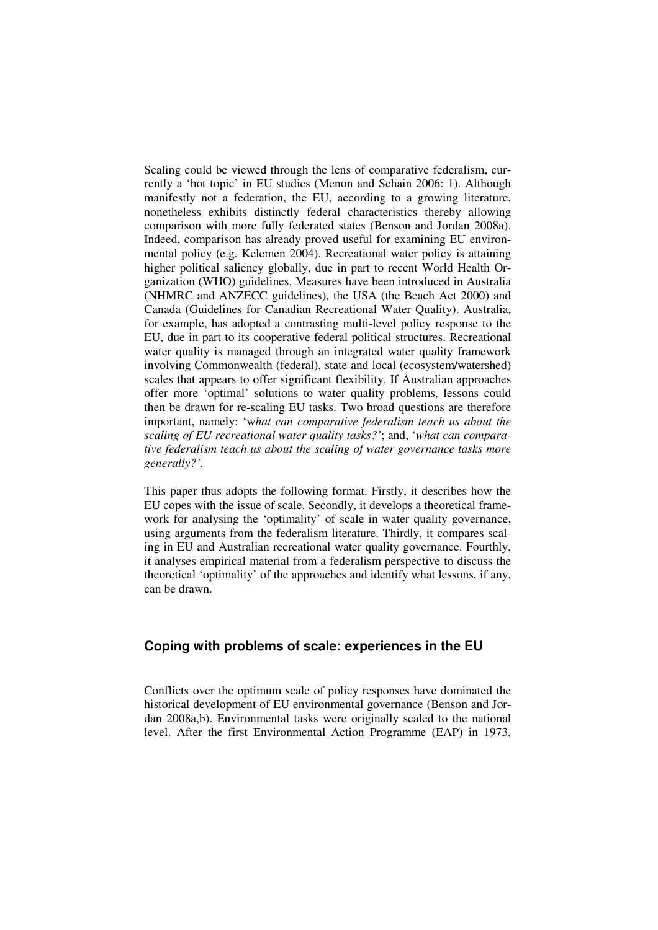Scaling could be viewed through the lens of comparative federalism, currently a 'hot topic' in EU studies (Menon and Schain 2006: 1). Although manifestly not a federation, the EU, according to a growing literature, nonetheless exhibits distinctly federal characteristics thereby allowing comparison with more fully federated states (Benson and Jordan 2008a). Indeed, comparison has already proved useful for examining EU environmental policy (e.g. Kelemen 2004). Recreational water policy is attaining higher political saliency globally, due in part to recent World Health Organization (WHO) guidelines. Measures have been introduced in Australia (NHMRC and ANZECC guidelines), the USA (the Beach Act 2000) and Canada (Guidelines for Canadian Recreational Water Quality). Australia, for example, has adopted a contrasting multi-level policy response to the EU, due in part to its cooperative federal political structures. Recreational water quality is managed through an integrated water quality framework involving Commonwealth (federal), state and local (ecosystem/watershed) scales that appears to offer significant flexibility. If Australian approaches offer more 'optimal' solutions to water quality problems, lessons could then be drawn for re-scaling EU tasks. Two broad questions are therefore important, namely: 'w*hat can comparative federalism teach us about the scaling of EU recreational water quality tasks?'*; and, '*what can comparative federalism teach us about the scaling of water governance tasks more generally?'.* 

This paper thus adopts the following format. Firstly, it describes how the EU copes with the issue of scale. Secondly, it develops a theoretical framework for analysing the 'optimality' of scale in water quality governance, using arguments from the federalism literature. Thirdly, it compares scaling in EU and Australian recreational water quality governance. Fourthly, it analyses empirical material from a federalism perspective to discuss the theoretical 'optimality' of the approaches and identify what lessons, if any, can be drawn.

# **Coping with problems of scale: experiences in the EU**

Conflicts over the optimum scale of policy responses have dominated the historical development of EU environmental governance (Benson and Jordan 2008a,b). Environmental tasks were originally scaled to the national level. After the first Environmental Action Programme (EAP) in 1973,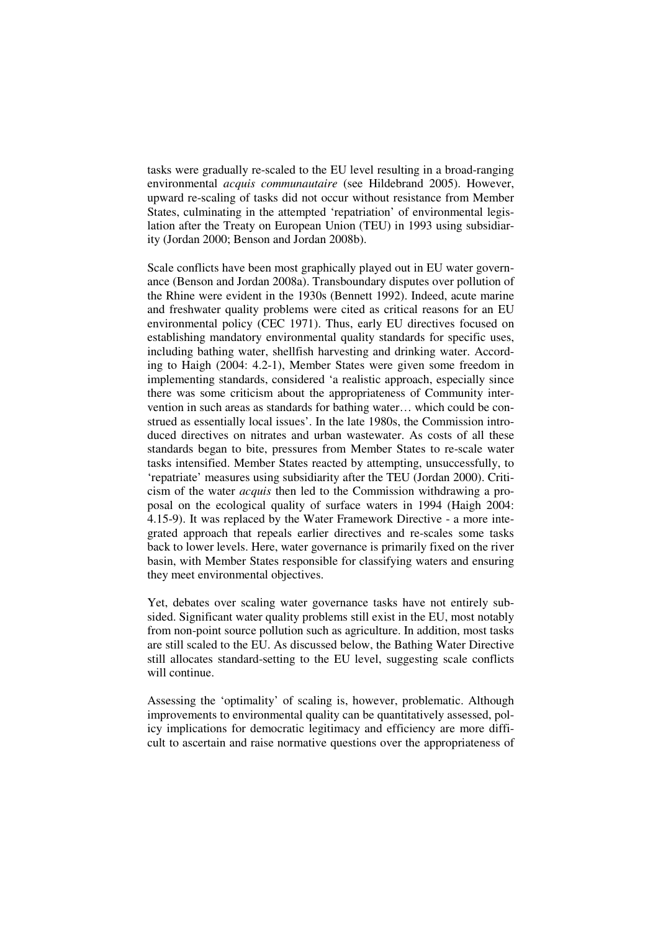tasks were gradually re-scaled to the EU level resulting in a broad-ranging environmental *acquis communautaire* (see Hildebrand 2005). However, upward re-scaling of tasks did not occur without resistance from Member States, culminating in the attempted 'repatriation' of environmental legislation after the Treaty on European Union (TEU) in 1993 using subsidiarity (Jordan 2000; Benson and Jordan 2008b).

Scale conflicts have been most graphically played out in EU water governance (Benson and Jordan 2008a). Transboundary disputes over pollution of the Rhine were evident in the 1930s (Bennett 1992). Indeed, acute marine and freshwater quality problems were cited as critical reasons for an EU environmental policy (CEC 1971). Thus, early EU directives focused on establishing mandatory environmental quality standards for specific uses, including bathing water, shellfish harvesting and drinking water. According to Haigh (2004: 4.2-1), Member States were given some freedom in implementing standards, considered 'a realistic approach, especially since there was some criticism about the appropriateness of Community intervention in such areas as standards for bathing water… which could be construed as essentially local issues'. In the late 1980s, the Commission introduced directives on nitrates and urban wastewater. As costs of all these standards began to bite, pressures from Member States to re-scale water tasks intensified. Member States reacted by attempting, unsuccessfully, to 'repatriate' measures using subsidiarity after the TEU (Jordan 2000). Criticism of the water *acquis* then led to the Commission withdrawing a proposal on the ecological quality of surface waters in 1994 (Haigh 2004: 4.15-9). It was replaced by the Water Framework Directive - a more integrated approach that repeals earlier directives and re-scales some tasks back to lower levels. Here, water governance is primarily fixed on the river basin, with Member States responsible for classifying waters and ensuring they meet environmental objectives.

Yet, debates over scaling water governance tasks have not entirely subsided. Significant water quality problems still exist in the EU, most notably from non-point source pollution such as agriculture. In addition, most tasks are still scaled to the EU. As discussed below, the Bathing Water Directive still allocates standard-setting to the EU level, suggesting scale conflicts will continue.

Assessing the 'optimality' of scaling is, however, problematic. Although improvements to environmental quality can be quantitatively assessed, policy implications for democratic legitimacy and efficiency are more difficult to ascertain and raise normative questions over the appropriateness of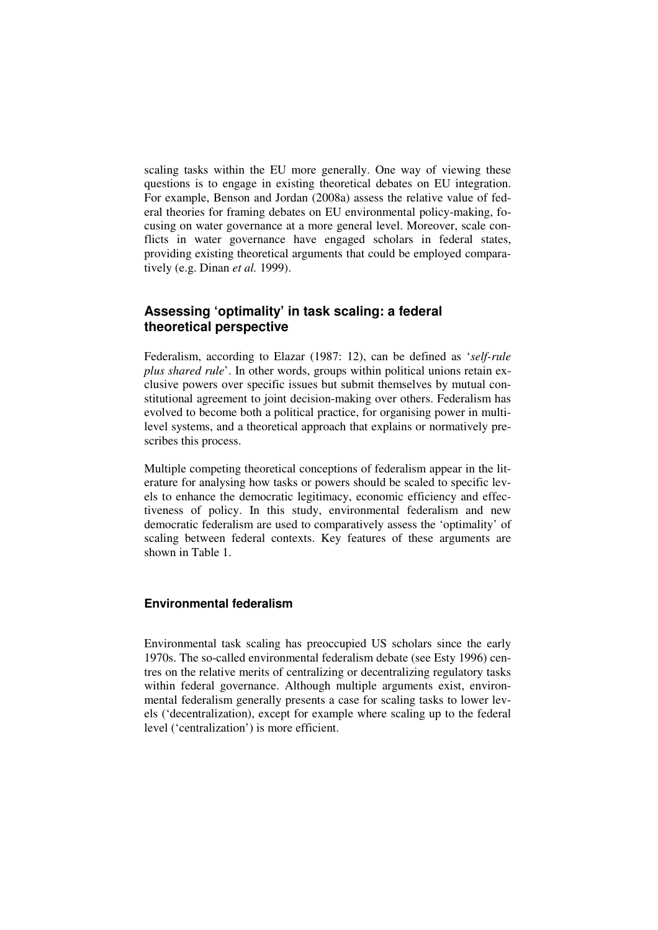scaling tasks within the EU more generally. One way of viewing these questions is to engage in existing theoretical debates on EU integration. For example, Benson and Jordan (2008a) assess the relative value of federal theories for framing debates on EU environmental policy-making, focusing on water governance at a more general level. Moreover, scale conflicts in water governance have engaged scholars in federal states, providing existing theoretical arguments that could be employed comparatively (e.g. Dinan *et al.* 1999).

# **Assessing 'optimality' in task scaling: a federal theoretical perspective**

Federalism, according to Elazar (1987: 12), can be defined as '*self-rule plus shared rule*'. In other words, groups within political unions retain exclusive powers over specific issues but submit themselves by mutual constitutional agreement to joint decision-making over others. Federalism has evolved to become both a political practice, for organising power in multilevel systems, and a theoretical approach that explains or normatively prescribes this process.

Multiple competing theoretical conceptions of federalism appear in the literature for analysing how tasks or powers should be scaled to specific levels to enhance the democratic legitimacy, economic efficiency and effectiveness of policy. In this study, environmental federalism and new democratic federalism are used to comparatively assess the 'optimality' of scaling between federal contexts. Key features of these arguments are shown in Table 1.

### **Environmental federalism**

Environmental task scaling has preoccupied US scholars since the early 1970s. The so-called environmental federalism debate (see Esty 1996) centres on the relative merits of centralizing or decentralizing regulatory tasks within federal governance. Although multiple arguments exist, environmental federalism generally presents a case for scaling tasks to lower levels ('decentralization), except for example where scaling up to the federal level ('centralization') is more efficient.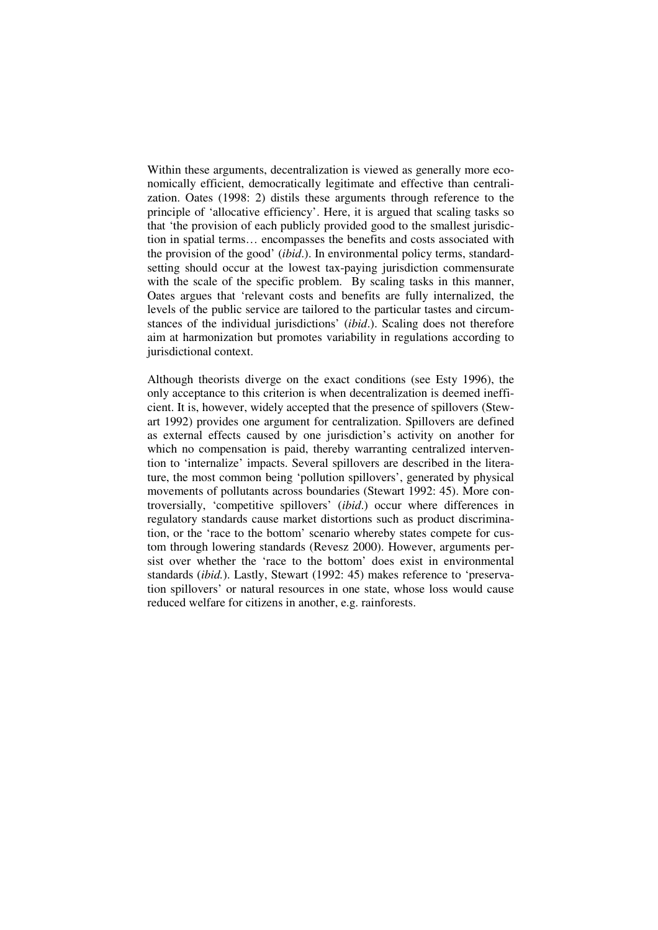Within these arguments, decentralization is viewed as generally more economically efficient, democratically legitimate and effective than centralization. Oates (1998: 2) distils these arguments through reference to the principle of 'allocative efficiency'. Here, it is argued that scaling tasks so that 'the provision of each publicly provided good to the smallest jurisdiction in spatial terms… encompasses the benefits and costs associated with the provision of the good' (*ibid*.). In environmental policy terms, standardsetting should occur at the lowest tax-paying jurisdiction commensurate with the scale of the specific problem. By scaling tasks in this manner, Oates argues that 'relevant costs and benefits are fully internalized, the levels of the public service are tailored to the particular tastes and circumstances of the individual jurisdictions' (*ibid*.). Scaling does not therefore aim at harmonization but promotes variability in regulations according to jurisdictional context.

Although theorists diverge on the exact conditions (see Esty 1996), the only acceptance to this criterion is when decentralization is deemed inefficient. It is, however, widely accepted that the presence of spillovers (Stewart 1992) provides one argument for centralization. Spillovers are defined as external effects caused by one jurisdiction's activity on another for which no compensation is paid, thereby warranting centralized intervention to 'internalize' impacts. Several spillovers are described in the literature, the most common being 'pollution spillovers', generated by physical movements of pollutants across boundaries (Stewart 1992: 45). More controversially, 'competitive spillovers' (*ibid*.) occur where differences in regulatory standards cause market distortions such as product discrimination, or the 'race to the bottom' scenario whereby states compete for custom through lowering standards (Revesz 2000). However, arguments persist over whether the 'race to the bottom' does exist in environmental standards (*ibid.*). Lastly, Stewart (1992: 45) makes reference to 'preservation spillovers' or natural resources in one state, whose loss would cause reduced welfare for citizens in another, e.g. rainforests.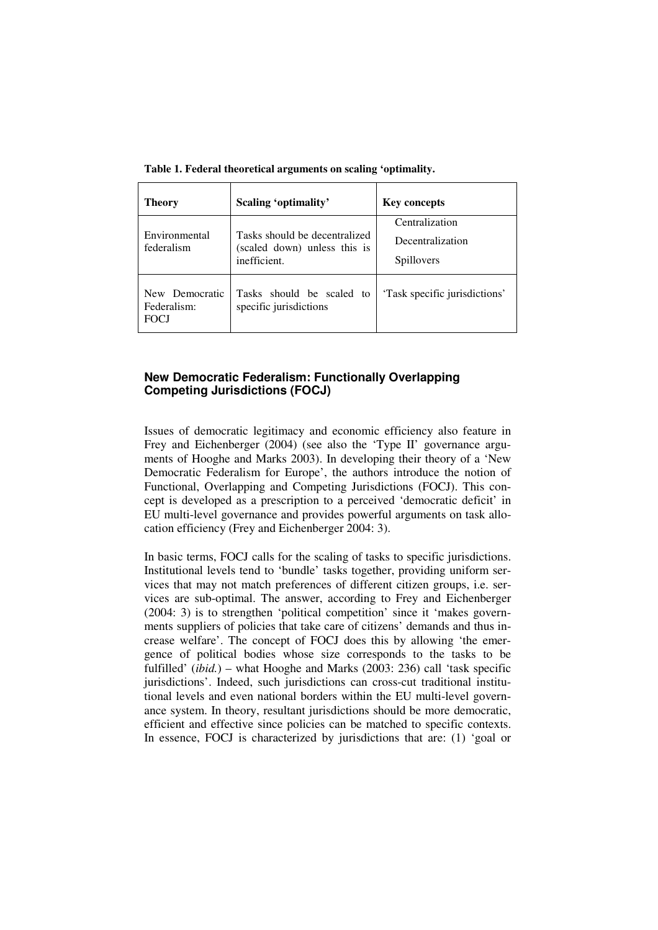| <b>Theory</b>                                | Scaling 'optimality'                                                          | <b>Key concepts</b>                              |
|----------------------------------------------|-------------------------------------------------------------------------------|--------------------------------------------------|
| Environmental<br>federalism                  | Tasks should be decentralized<br>(scaled down) unless this is<br>inefficient. | Centralization<br>Decentralization<br>Spillovers |
| New Democratic<br>Federalism:<br><b>FOCJ</b> | Tasks should be scaled to<br>specific jurisdictions                           | 'Task specific jurisdictions'                    |

**Table 1. Federal theoretical arguments on scaling 'optimality.** 

#### **New Democratic Federalism: Functionally Overlapping Competing Jurisdictions (FOCJ)**

Issues of democratic legitimacy and economic efficiency also feature in Frey and Eichenberger (2004) (see also the 'Type II' governance arguments of Hooghe and Marks 2003). In developing their theory of a 'New Democratic Federalism for Europe', the authors introduce the notion of Functional, Overlapping and Competing Jurisdictions (FOCJ). This concept is developed as a prescription to a perceived 'democratic deficit' in EU multi-level governance and provides powerful arguments on task allocation efficiency (Frey and Eichenberger 2004: 3).

In basic terms, FOCJ calls for the scaling of tasks to specific jurisdictions. Institutional levels tend to 'bundle' tasks together, providing uniform services that may not match preferences of different citizen groups, i.e. services are sub-optimal. The answer, according to Frey and Eichenberger (2004: 3) is to strengthen 'political competition' since it 'makes governments suppliers of policies that take care of citizens' demands and thus increase welfare'. The concept of FOCJ does this by allowing 'the emergence of political bodies whose size corresponds to the tasks to be fulfilled' (*ibid.*) – what Hooghe and Marks (2003: 236) call 'task specific jurisdictions'. Indeed, such jurisdictions can cross-cut traditional institutional levels and even national borders within the EU multi-level governance system. In theory, resultant jurisdictions should be more democratic, efficient and effective since policies can be matched to specific contexts. In essence, FOCJ is characterized by jurisdictions that are: (1) 'goal or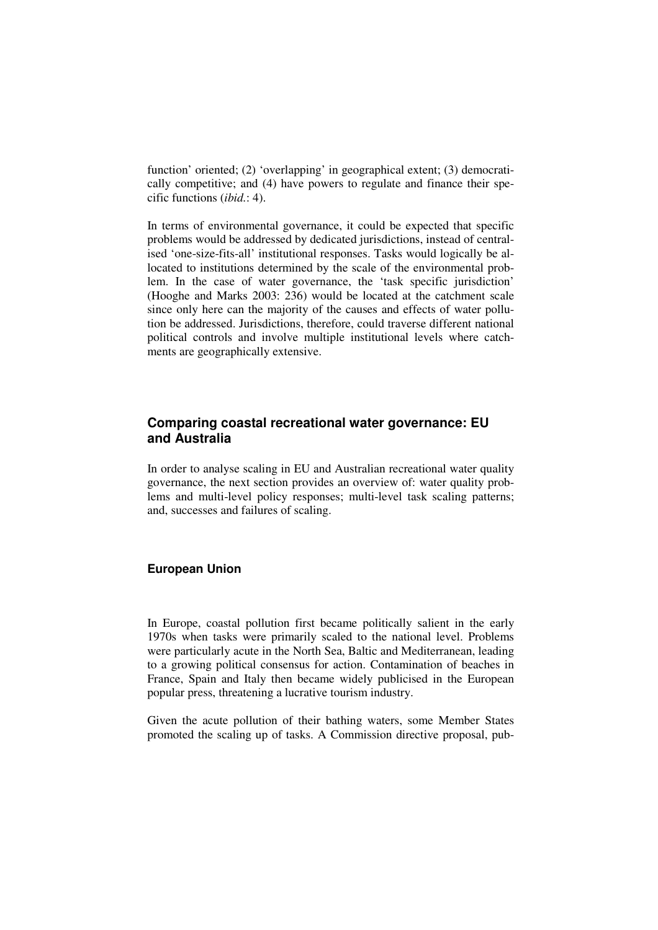function' oriented; (2) 'overlapping' in geographical extent; (3) democratically competitive; and (4) have powers to regulate and finance their specific functions (*ibid.*: 4).

In terms of environmental governance, it could be expected that specific problems would be addressed by dedicated jurisdictions, instead of centralised 'one-size-fits-all' institutional responses. Tasks would logically be allocated to institutions determined by the scale of the environmental problem. In the case of water governance, the 'task specific jurisdiction' (Hooghe and Marks 2003: 236) would be located at the catchment scale since only here can the majority of the causes and effects of water pollution be addressed. Jurisdictions, therefore, could traverse different national political controls and involve multiple institutional levels where catchments are geographically extensive.

# **Comparing coastal recreational water governance: EU and Australia**

In order to analyse scaling in EU and Australian recreational water quality governance, the next section provides an overview of: water quality problems and multi-level policy responses; multi-level task scaling patterns; and, successes and failures of scaling.

#### **European Union**

In Europe, coastal pollution first became politically salient in the early 1970s when tasks were primarily scaled to the national level. Problems were particularly acute in the North Sea, Baltic and Mediterranean, leading to a growing political consensus for action. Contamination of beaches in France, Spain and Italy then became widely publicised in the European popular press, threatening a lucrative tourism industry.

Given the acute pollution of their bathing waters, some Member States promoted the scaling up of tasks. A Commission directive proposal, pub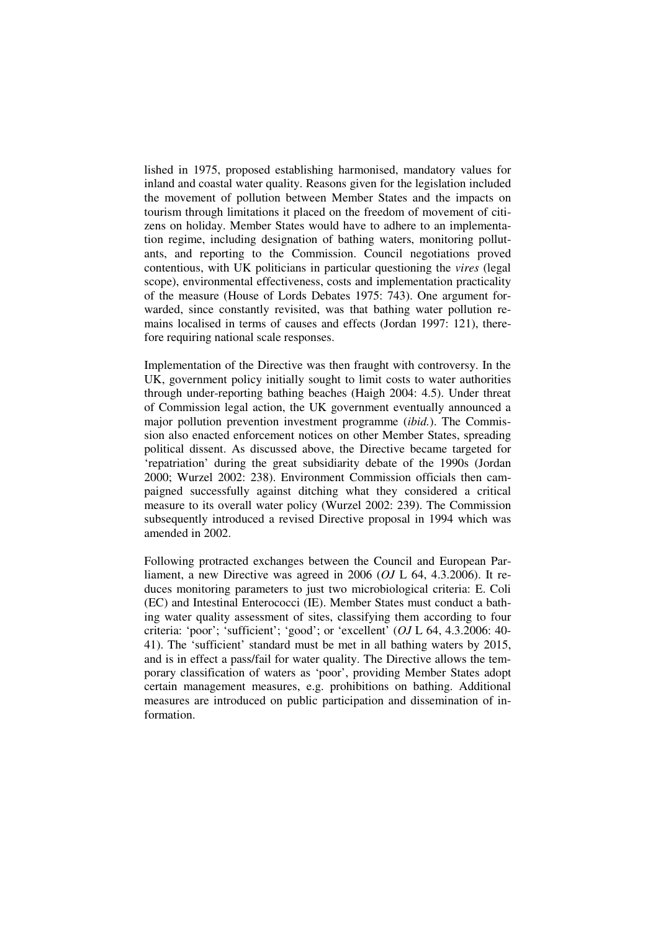lished in 1975, proposed establishing harmonised, mandatory values for inland and coastal water quality. Reasons given for the legislation included the movement of pollution between Member States and the impacts on tourism through limitations it placed on the freedom of movement of citizens on holiday. Member States would have to adhere to an implementation regime, including designation of bathing waters, monitoring pollutants, and reporting to the Commission. Council negotiations proved contentious, with UK politicians in particular questioning the *vires* (legal scope), environmental effectiveness, costs and implementation practicality of the measure (House of Lords Debates 1975: 743). One argument forwarded, since constantly revisited, was that bathing water pollution remains localised in terms of causes and effects (Jordan 1997: 121), therefore requiring national scale responses.

Implementation of the Directive was then fraught with controversy. In the UK, government policy initially sought to limit costs to water authorities through under-reporting bathing beaches (Haigh 2004: 4.5). Under threat of Commission legal action, the UK government eventually announced a major pollution prevention investment programme (*ibid.*). The Commission also enacted enforcement notices on other Member States, spreading political dissent. As discussed above, the Directive became targeted for 'repatriation' during the great subsidiarity debate of the 1990s (Jordan 2000; Wurzel 2002: 238). Environment Commission officials then campaigned successfully against ditching what they considered a critical measure to its overall water policy (Wurzel 2002: 239). The Commission subsequently introduced a revised Directive proposal in 1994 which was amended in 2002.

Following protracted exchanges between the Council and European Parliament, a new Directive was agreed in 2006 (*OJ* L 64, 4.3.2006). It reduces monitoring parameters to just two microbiological criteria: E. Coli (EC) and Intestinal Enterococci (IE). Member States must conduct a bathing water quality assessment of sites, classifying them according to four criteria: 'poor'; 'sufficient'; 'good'; or 'excellent' (*OJ* L 64, 4.3.2006: 40- 41). The 'sufficient' standard must be met in all bathing waters by 2015, and is in effect a pass/fail for water quality. The Directive allows the temporary classification of waters as 'poor', providing Member States adopt certain management measures, e.g. prohibitions on bathing. Additional measures are introduced on public participation and dissemination of information.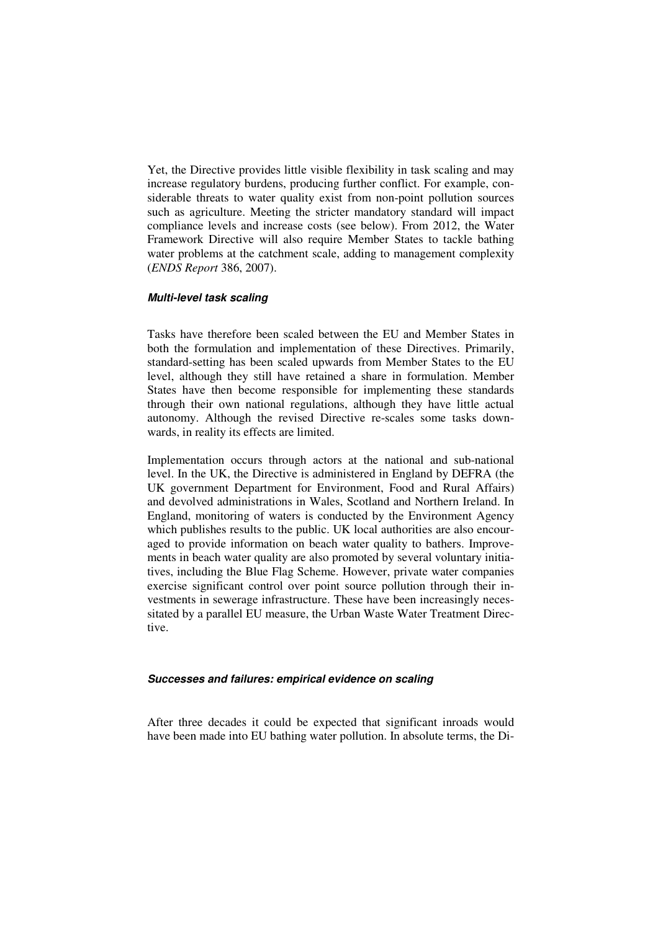Yet, the Directive provides little visible flexibility in task scaling and may increase regulatory burdens, producing further conflict. For example, considerable threats to water quality exist from non-point pollution sources such as agriculture. Meeting the stricter mandatory standard will impact compliance levels and increase costs (see below). From 2012, the Water Framework Directive will also require Member States to tackle bathing water problems at the catchment scale, adding to management complexity (*ENDS Report* 386, 2007).

#### **Multi-level task scaling**

Tasks have therefore been scaled between the EU and Member States in both the formulation and implementation of these Directives. Primarily, standard-setting has been scaled upwards from Member States to the EU level, although they still have retained a share in formulation. Member States have then become responsible for implementing these standards through their own national regulations, although they have little actual autonomy. Although the revised Directive re-scales some tasks downwards, in reality its effects are limited.

Implementation occurs through actors at the national and sub-national level. In the UK, the Directive is administered in England by DEFRA (the UK government Department for Environment, Food and Rural Affairs) and devolved administrations in Wales, Scotland and Northern Ireland. In England, monitoring of waters is conducted by the Environment Agency which publishes results to the public. UK local authorities are also encouraged to provide information on beach water quality to bathers. Improvements in beach water quality are also promoted by several voluntary initiatives, including the Blue Flag Scheme. However, private water companies exercise significant control over point source pollution through their investments in sewerage infrastructure. These have been increasingly necessitated by a parallel EU measure, the Urban Waste Water Treatment Directive.

#### **Successes and failures: empirical evidence on scaling**

After three decades it could be expected that significant inroads would have been made into EU bathing water pollution. In absolute terms, the Di-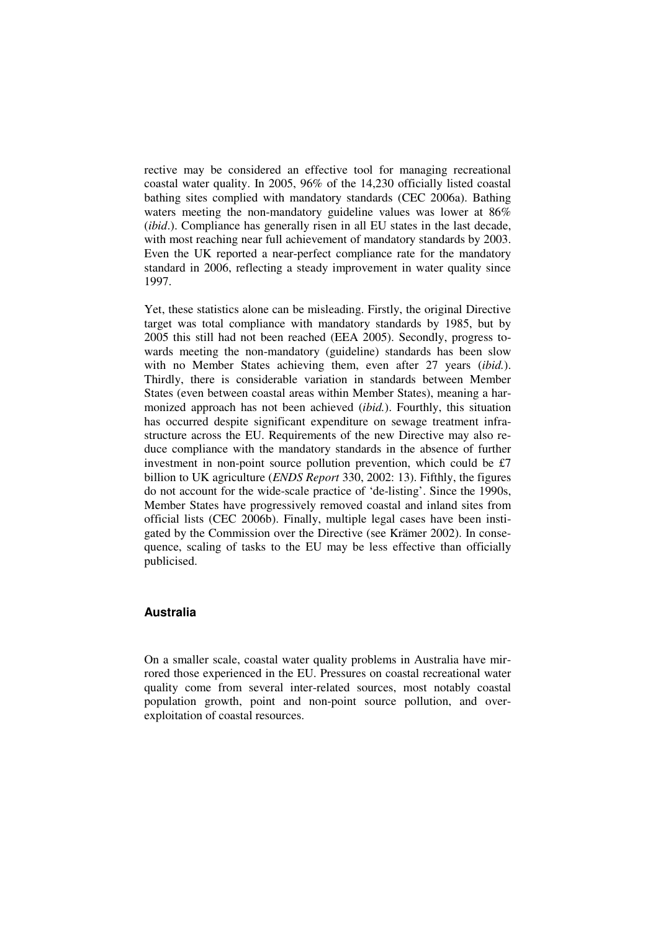rective may be considered an effective tool for managing recreational coastal water quality. In 2005, 96% of the 14,230 officially listed coastal bathing sites complied with mandatory standards (CEC 2006a). Bathing waters meeting the non-mandatory guideline values was lower at 86% (*ibid*.). Compliance has generally risen in all EU states in the last decade, with most reaching near full achievement of mandatory standards by 2003. Even the UK reported a near-perfect compliance rate for the mandatory standard in 2006, reflecting a steady improvement in water quality since 1997.

Yet, these statistics alone can be misleading. Firstly, the original Directive target was total compliance with mandatory standards by 1985, but by 2005 this still had not been reached (EEA 2005). Secondly, progress towards meeting the non-mandatory (guideline) standards has been slow with no Member States achieving them, even after 27 years (*ibid.*). Thirdly, there is considerable variation in standards between Member States (even between coastal areas within Member States), meaning a harmonized approach has not been achieved (*ibid.*). Fourthly, this situation has occurred despite significant expenditure on sewage treatment infrastructure across the EU. Requirements of the new Directive may also reduce compliance with the mandatory standards in the absence of further investment in non-point source pollution prevention, which could be £7 billion to UK agriculture (*ENDS Report* 330, 2002: 13). Fifthly, the figures do not account for the wide-scale practice of 'de-listing'. Since the 1990s, Member States have progressively removed coastal and inland sites from official lists (CEC 2006b). Finally, multiple legal cases have been instigated by the Commission over the Directive (see Krämer 2002). In consequence, scaling of tasks to the EU may be less effective than officially publicised.

### **Australia**

On a smaller scale, coastal water quality problems in Australia have mirrored those experienced in the EU. Pressures on coastal recreational water quality come from several inter-related sources, most notably coastal population growth, point and non-point source pollution, and overexploitation of coastal resources.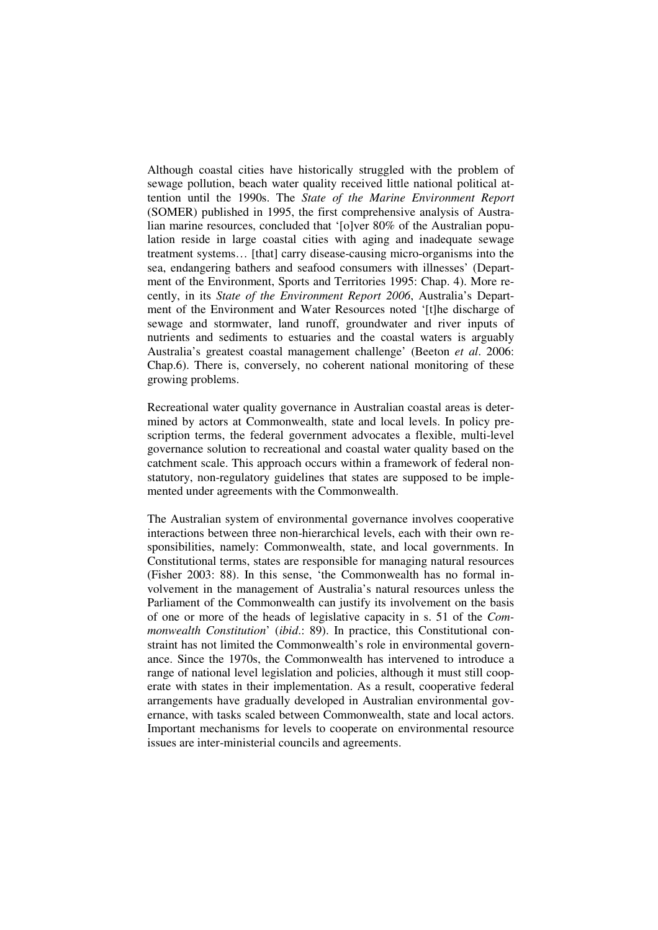Although coastal cities have historically struggled with the problem of sewage pollution, beach water quality received little national political attention until the 1990s. The *State of the Marine Environment Report* (SOMER) published in 1995, the first comprehensive analysis of Australian marine resources, concluded that '[o]ver 80% of the Australian population reside in large coastal cities with aging and inadequate sewage treatment systems… [that] carry disease-causing micro-organisms into the sea, endangering bathers and seafood consumers with illnesses' (Department of the Environment, Sports and Territories 1995: Chap. 4). More recently, in its *State of the Environment Report 2006*, Australia's Department of the Environment and Water Resources noted '[t]he discharge of sewage and stormwater, land runoff, groundwater and river inputs of nutrients and sediments to estuaries and the coastal waters is arguably Australia's greatest coastal management challenge' (Beeton *et al*. 2006: Chap.6). There is, conversely, no coherent national monitoring of these growing problems.

Recreational water quality governance in Australian coastal areas is determined by actors at Commonwealth, state and local levels. In policy prescription terms, the federal government advocates a flexible, multi-level governance solution to recreational and coastal water quality based on the catchment scale. This approach occurs within a framework of federal nonstatutory, non-regulatory guidelines that states are supposed to be implemented under agreements with the Commonwealth.

The Australian system of environmental governance involves cooperative interactions between three non-hierarchical levels, each with their own responsibilities, namely: Commonwealth, state, and local governments. In Constitutional terms, states are responsible for managing natural resources (Fisher 2003: 88). In this sense, 'the Commonwealth has no formal involvement in the management of Australia's natural resources unless the Parliament of the Commonwealth can justify its involvement on the basis of one or more of the heads of legislative capacity in s. 51 of the *Commonwealth Constitution*' (*ibid*.: 89). In practice, this Constitutional constraint has not limited the Commonwealth's role in environmental governance. Since the 1970s, the Commonwealth has intervened to introduce a range of national level legislation and policies, although it must still cooperate with states in their implementation. As a result, cooperative federal arrangements have gradually developed in Australian environmental governance, with tasks scaled between Commonwealth, state and local actors. Important mechanisms for levels to cooperate on environmental resource issues are inter-ministerial councils and agreements.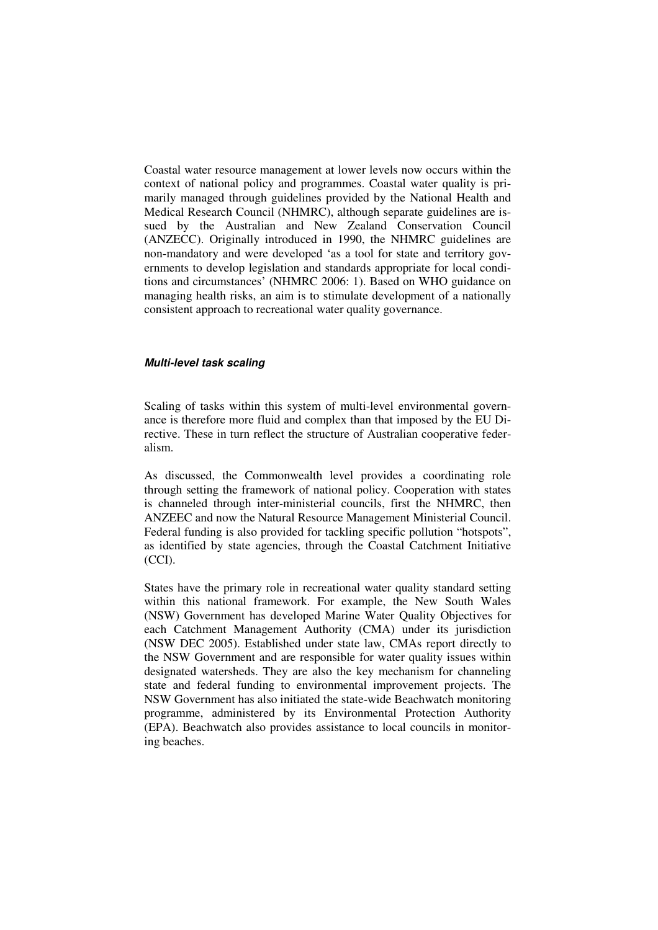Coastal water resource management at lower levels now occurs within the context of national policy and programmes. Coastal water quality is primarily managed through guidelines provided by the National Health and Medical Research Council (NHMRC), although separate guidelines are issued by the Australian and New Zealand Conservation Council (ANZECC). Originally introduced in 1990, the NHMRC guidelines are non-mandatory and were developed 'as a tool for state and territory governments to develop legislation and standards appropriate for local conditions and circumstances' (NHMRC 2006: 1). Based on WHO guidance on managing health risks, an aim is to stimulate development of a nationally consistent approach to recreational water quality governance.

#### **Multi-level task scaling**

Scaling of tasks within this system of multi-level environmental governance is therefore more fluid and complex than that imposed by the EU Directive. These in turn reflect the structure of Australian cooperative federalism.

As discussed, the Commonwealth level provides a coordinating role through setting the framework of national policy. Cooperation with states is channeled through inter-ministerial councils, first the NHMRC, then ANZEEC and now the Natural Resource Management Ministerial Council. Federal funding is also provided for tackling specific pollution "hotspots", as identified by state agencies, through the Coastal Catchment Initiative (CCI).

States have the primary role in recreational water quality standard setting within this national framework. For example, the New South Wales (NSW) Government has developed Marine Water Quality Objectives for each Catchment Management Authority (CMA) under its jurisdiction (NSW DEC 2005). Established under state law, CMAs report directly to the NSW Government and are responsible for water quality issues within designated watersheds. They are also the key mechanism for channeling state and federal funding to environmental improvement projects. The NSW Government has also initiated the state-wide Beachwatch monitoring programme, administered by its Environmental Protection Authority (EPA). Beachwatch also provides assistance to local councils in monitoring beaches.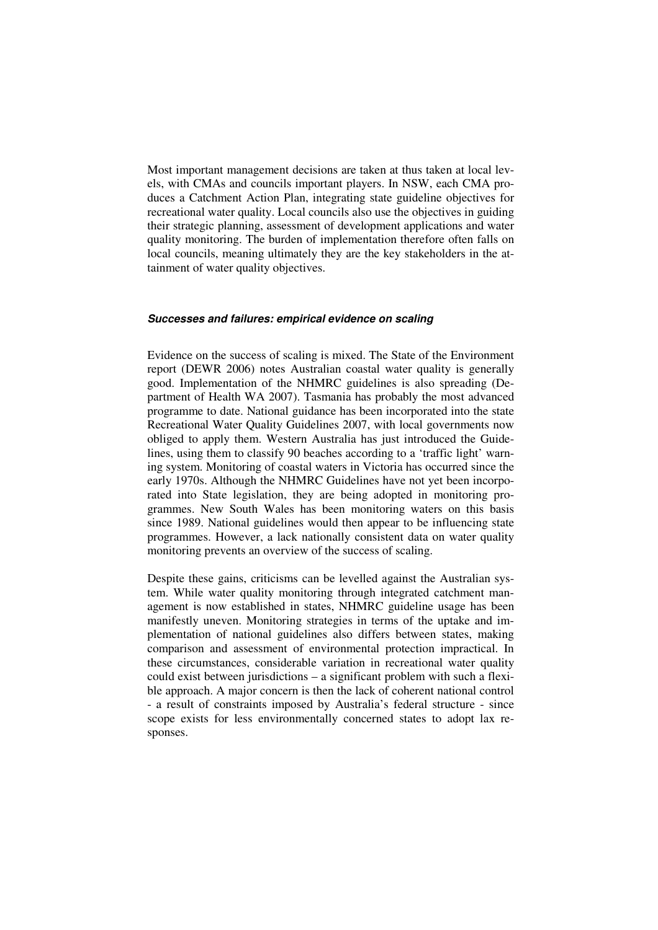Most important management decisions are taken at thus taken at local levels, with CMAs and councils important players. In NSW, each CMA produces a Catchment Action Plan, integrating state guideline objectives for recreational water quality. Local councils also use the objectives in guiding their strategic planning, assessment of development applications and water quality monitoring. The burden of implementation therefore often falls on local councils, meaning ultimately they are the key stakeholders in the attainment of water quality objectives.

#### **Successes and failures: empirical evidence on scaling**

Evidence on the success of scaling is mixed. The State of the Environment report (DEWR 2006) notes Australian coastal water quality is generally good. Implementation of the NHMRC guidelines is also spreading (Department of Health WA 2007). Tasmania has probably the most advanced programme to date. National guidance has been incorporated into the state Recreational Water Quality Guidelines 2007, with local governments now obliged to apply them. Western Australia has just introduced the Guidelines, using them to classify 90 beaches according to a 'traffic light' warning system. Monitoring of coastal waters in Victoria has occurred since the early 1970s. Although the NHMRC Guidelines have not yet been incorporated into State legislation, they are being adopted in monitoring programmes. New South Wales has been monitoring waters on this basis since 1989. National guidelines would then appear to be influencing state programmes. However, a lack nationally consistent data on water quality monitoring prevents an overview of the success of scaling.

Despite these gains, criticisms can be levelled against the Australian system. While water quality monitoring through integrated catchment management is now established in states, NHMRC guideline usage has been manifestly uneven. Monitoring strategies in terms of the uptake and implementation of national guidelines also differs between states, making comparison and assessment of environmental protection impractical. In these circumstances, considerable variation in recreational water quality could exist between jurisdictions – a significant problem with such a flexible approach. A major concern is then the lack of coherent national control - a result of constraints imposed by Australia's federal structure - since scope exists for less environmentally concerned states to adopt lax responses.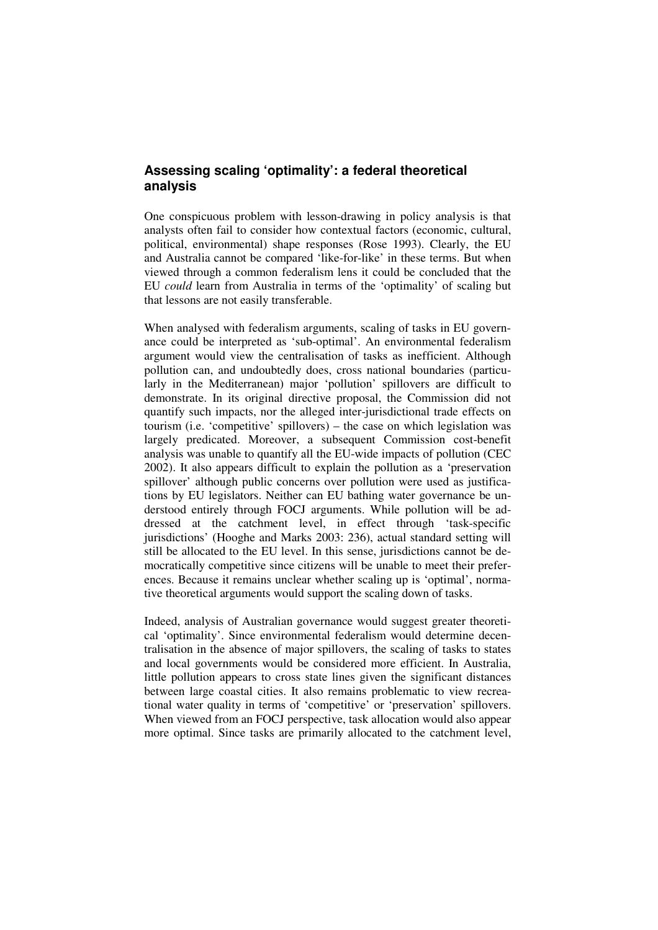# **Assessing scaling 'optimality': a federal theoretical analysis**

One conspicuous problem with lesson-drawing in policy analysis is that analysts often fail to consider how contextual factors (economic, cultural, political, environmental) shape responses (Rose 1993). Clearly, the EU and Australia cannot be compared 'like-for-like' in these terms. But when viewed through a common federalism lens it could be concluded that the EU *could* learn from Australia in terms of the 'optimality' of scaling but that lessons are not easily transferable.

When analysed with federalism arguments, scaling of tasks in EU governance could be interpreted as 'sub-optimal'. An environmental federalism argument would view the centralisation of tasks as inefficient. Although pollution can, and undoubtedly does, cross national boundaries (particularly in the Mediterranean) major 'pollution' spillovers are difficult to demonstrate. In its original directive proposal, the Commission did not quantify such impacts, nor the alleged inter-jurisdictional trade effects on tourism (i.e. 'competitive' spillovers) – the case on which legislation was largely predicated. Moreover, a subsequent Commission cost-benefit analysis was unable to quantify all the EU-wide impacts of pollution (CEC 2002). It also appears difficult to explain the pollution as a 'preservation spillover' although public concerns over pollution were used as justifications by EU legislators. Neither can EU bathing water governance be understood entirely through FOCJ arguments. While pollution will be addressed at the catchment level, in effect through 'task-specific jurisdictions' (Hooghe and Marks 2003: 236), actual standard setting will still be allocated to the EU level. In this sense, jurisdictions cannot be democratically competitive since citizens will be unable to meet their preferences. Because it remains unclear whether scaling up is 'optimal', normative theoretical arguments would support the scaling down of tasks.

Indeed, analysis of Australian governance would suggest greater theoretical 'optimality'. Since environmental federalism would determine decentralisation in the absence of major spillovers, the scaling of tasks to states and local governments would be considered more efficient. In Australia, little pollution appears to cross state lines given the significant distances between large coastal cities. It also remains problematic to view recreational water quality in terms of 'competitive' or 'preservation' spillovers. When viewed from an FOCJ perspective, task allocation would also appear more optimal. Since tasks are primarily allocated to the catchment level,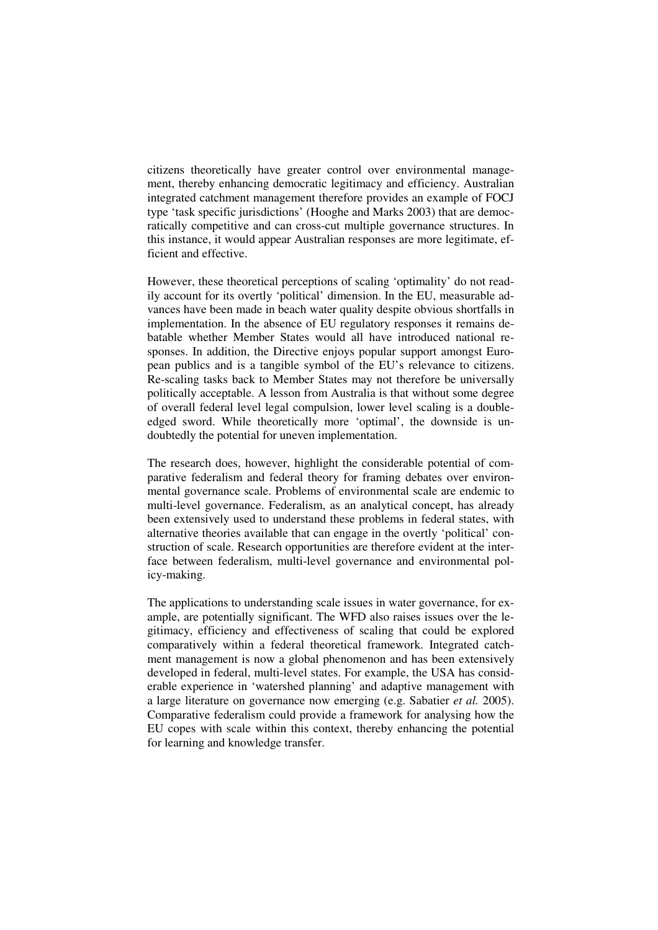citizens theoretically have greater control over environmental management, thereby enhancing democratic legitimacy and efficiency. Australian integrated catchment management therefore provides an example of FOCJ type 'task specific jurisdictions' (Hooghe and Marks 2003) that are democratically competitive and can cross-cut multiple governance structures. In this instance, it would appear Australian responses are more legitimate, efficient and effective.

However, these theoretical perceptions of scaling 'optimality' do not readily account for its overtly 'political' dimension. In the EU, measurable advances have been made in beach water quality despite obvious shortfalls in implementation. In the absence of EU regulatory responses it remains debatable whether Member States would all have introduced national responses. In addition, the Directive enjoys popular support amongst European publics and is a tangible symbol of the EU's relevance to citizens. Re-scaling tasks back to Member States may not therefore be universally politically acceptable. A lesson from Australia is that without some degree of overall federal level legal compulsion, lower level scaling is a doubleedged sword. While theoretically more 'optimal', the downside is undoubtedly the potential for uneven implementation.

The research does, however, highlight the considerable potential of comparative federalism and federal theory for framing debates over environmental governance scale. Problems of environmental scale are endemic to multi-level governance. Federalism, as an analytical concept, has already been extensively used to understand these problems in federal states, with alternative theories available that can engage in the overtly 'political' construction of scale. Research opportunities are therefore evident at the interface between federalism, multi-level governance and environmental policy-making.

The applications to understanding scale issues in water governance, for example, are potentially significant. The WFD also raises issues over the legitimacy, efficiency and effectiveness of scaling that could be explored comparatively within a federal theoretical framework. Integrated catchment management is now a global phenomenon and has been extensively developed in federal, multi-level states. For example, the USA has considerable experience in 'watershed planning' and adaptive management with a large literature on governance now emerging (e.g. Sabatier *et al.* 2005). Comparative federalism could provide a framework for analysing how the EU copes with scale within this context, thereby enhancing the potential for learning and knowledge transfer.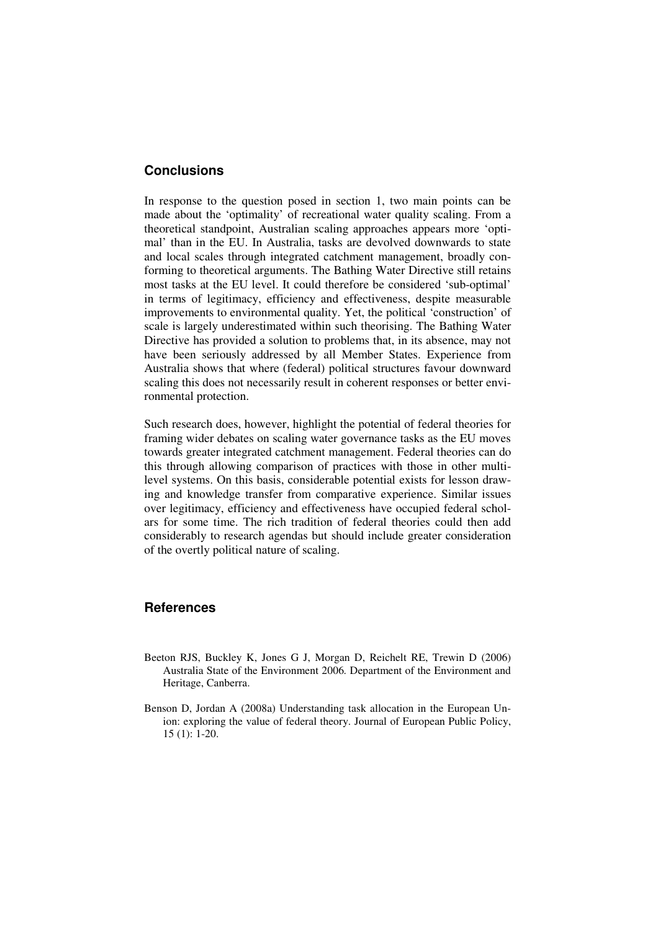### **Conclusions**

In response to the question posed in section 1, two main points can be made about the 'optimality' of recreational water quality scaling. From a theoretical standpoint, Australian scaling approaches appears more 'optimal' than in the EU. In Australia, tasks are devolved downwards to state and local scales through integrated catchment management, broadly conforming to theoretical arguments. The Bathing Water Directive still retains most tasks at the EU level. It could therefore be considered 'sub-optimal' in terms of legitimacy, efficiency and effectiveness, despite measurable improvements to environmental quality. Yet, the political 'construction' of scale is largely underestimated within such theorising. The Bathing Water Directive has provided a solution to problems that, in its absence, may not have been seriously addressed by all Member States. Experience from Australia shows that where (federal) political structures favour downward scaling this does not necessarily result in coherent responses or better environmental protection.

Such research does, however, highlight the potential of federal theories for framing wider debates on scaling water governance tasks as the EU moves towards greater integrated catchment management. Federal theories can do this through allowing comparison of practices with those in other multilevel systems. On this basis, considerable potential exists for lesson drawing and knowledge transfer from comparative experience. Similar issues over legitimacy, efficiency and effectiveness have occupied federal scholars for some time. The rich tradition of federal theories could then add considerably to research agendas but should include greater consideration of the overtly political nature of scaling.

#### **References**

- Beeton RJS, Buckley K, Jones G J, Morgan D, Reichelt RE, Trewin D (2006) Australia State of the Environment 2006*.* Department of the Environment and Heritage, Canberra.
- Benson D, Jordan A (2008a) Understanding task allocation in the European Union: exploring the value of federal theory. Journal of European Public Policy, 15 (1): 1-20.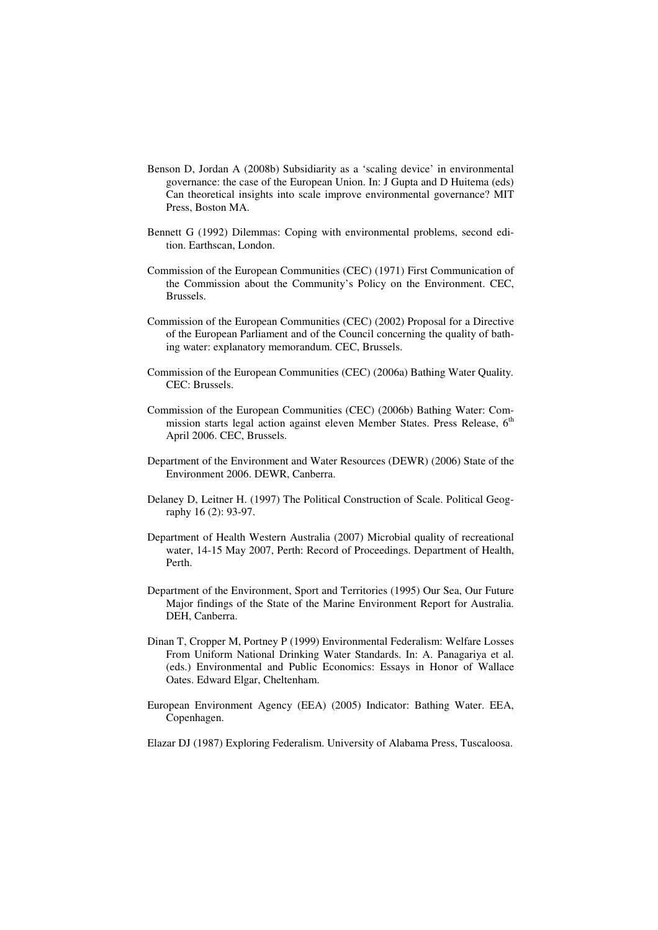- Benson D, Jordan A (2008b) Subsidiarity as a 'scaling device' in environmental governance: the case of the European Union. In: J Gupta and D Huitema (eds) Can theoretical insights into scale improve environmental governance? MIT Press, Boston MA.
- Bennett G (1992) Dilemmas: Coping with environmental problems, second edition. Earthscan, London.
- Commission of the European Communities (CEC) (1971) First Communication of the Commission about the Community's Policy on the Environment. CEC, Brussels.
- Commission of the European Communities (CEC) (2002) Proposal for a Directive of the European Parliament and of the Council concerning the quality of bathing water: explanatory memorandum. CEC, Brussels.
- Commission of the European Communities (CEC) (2006a) Bathing Water Quality*.* CEC: Brussels.
- Commission of the European Communities (CEC) (2006b) Bathing Water: Commission starts legal action against eleven Member States. Press Release, 6<sup>th</sup> April 2006. CEC, Brussels.
- Department of the Environment and Water Resources (DEWR) (2006) State of the Environment 2006. DEWR, Canberra.
- Delaney D, Leitner H. (1997) The Political Construction of Scale. Political Geography 16 (2): 93-97.
- Department of Health Western Australia (2007) Microbial quality of recreational water, 14-15 May 2007, Perth: Record of Proceedings. Department of Health, Perth.
- Department of the Environment, Sport and Territories (1995) Our Sea, Our Future Major findings of the State of the Marine Environment Report for Australia. DEH, Canberra.
- Dinan T, Cropper M, Portney P (1999) Environmental Federalism: Welfare Losses From Uniform National Drinking Water Standards. In: A. Panagariya et al. (eds.) Environmental and Public Economics: Essays in Honor of Wallace Oates. Edward Elgar, Cheltenham.
- European Environment Agency (EEA) (2005) Indicator: Bathing Water. EEA, Copenhagen.
- Elazar DJ (1987) Exploring Federalism. University of Alabama Press, Tuscaloosa.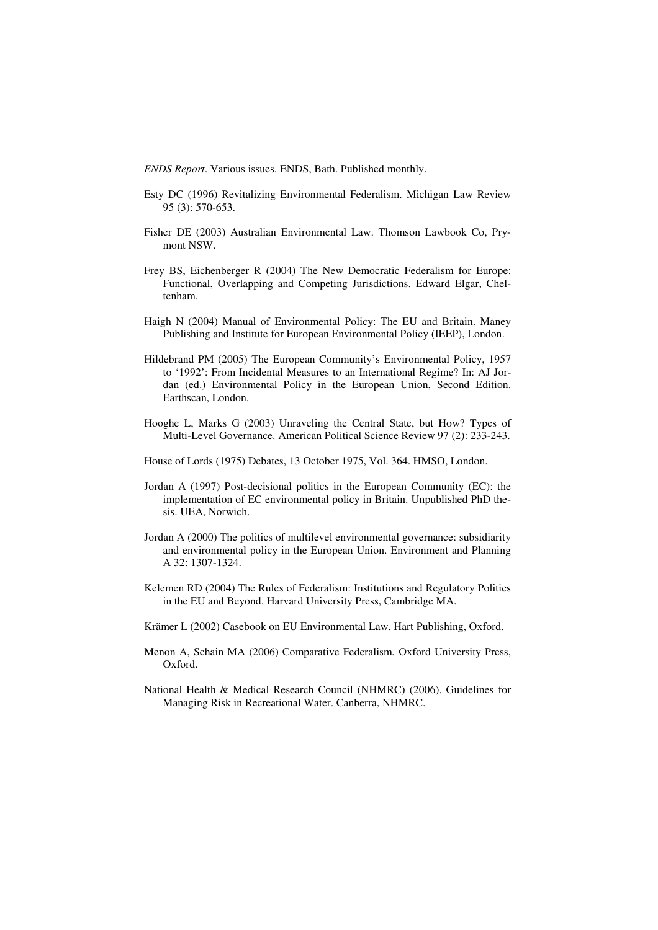*ENDS Report*. Various issues. ENDS, Bath. Published monthly.

- Esty DC (1996) Revitalizing Environmental Federalism. Michigan Law Review 95 (3): 570-653.
- Fisher DE (2003) Australian Environmental Law. Thomson Lawbook Co, Prymont NSW.
- Frey BS, Eichenberger R (2004) The New Democratic Federalism for Europe: Functional, Overlapping and Competing Jurisdictions. Edward Elgar, Cheltenham.
- Haigh N (2004) Manual of Environmental Policy: The EU and Britain. Maney Publishing and Institute for European Environmental Policy (IEEP), London.
- Hildebrand PM (2005) The European Community's Environmental Policy, 1957 to '1992': From Incidental Measures to an International Regime? In: AJ Jordan (ed.) Environmental Policy in the European Union, Second Edition. Earthscan, London.
- Hooghe L, Marks G (2003) Unraveling the Central State, but How? Types of Multi-Level Governance. American Political Science Review 97 (2): 233-243.
- House of Lords (1975) Debates, 13 October 1975, Vol. 364. HMSO, London.
- Jordan A (1997) Post-decisional politics in the European Community (EC): the implementation of EC environmental policy in Britain. Unpublished PhD thesis. UEA, Norwich.
- Jordan A (2000) The politics of multilevel environmental governance: subsidiarity and environmental policy in the European Union. Environment and Planning A 32: 1307-1324.
- Kelemen RD (2004) The Rules of Federalism: Institutions and Regulatory Politics in the EU and Beyond. Harvard University Press, Cambridge MA.
- Krämer L (2002) Casebook on EU Environmental Law. Hart Publishing, Oxford.
- Menon A, Schain MA (2006) Comparative Federalism*.* Oxford University Press, Oxford.
- National Health & Medical Research Council (NHMRC) (2006). Guidelines for Managing Risk in Recreational Water. Canberra, NHMRC.